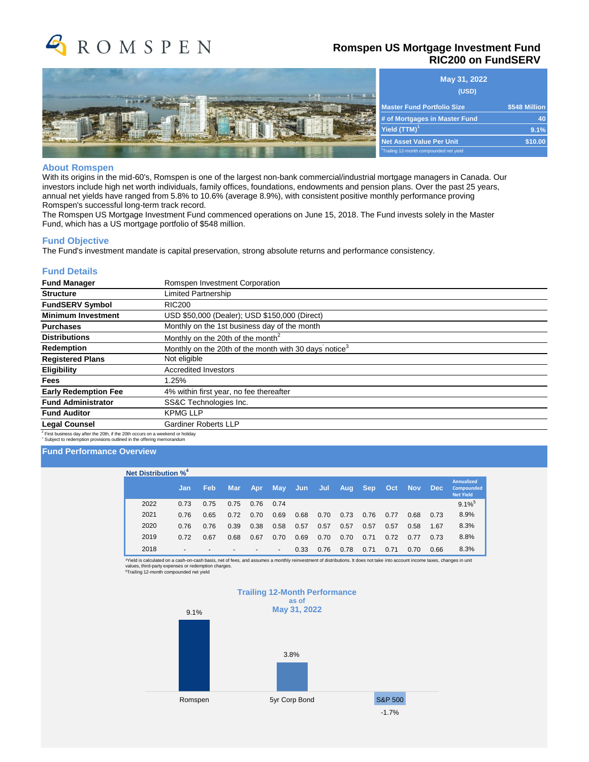

# **Romspen US Mortgage Investment Fund RIC200 on FundSERV**



| May 31, 2022                                        |               |  |  |
|-----------------------------------------------------|---------------|--|--|
| (USD)                                               |               |  |  |
| <b>Master Fund Portfolio Size</b>                   | \$548 Million |  |  |
| # of Mortgages in Master Fund                       | 40            |  |  |
| Yield $(TTM)^1$                                     | 9.1%          |  |  |
| <b>Net Asset Value Per Unit</b>                     | \$10.00       |  |  |
| <sup>1</sup> Trailing 12-month compounded net yield |               |  |  |

#### **About Romspen**

With its origins in the mid-60's, Romspen is one of the largest non-bank commercial/industrial mortgage managers in Canada. Our investors include high net worth individuals, family offices, foundations, endowments and pension plans. Over the past 25 years, annual net yields have ranged from 5.8% to 10.6% (average 8.9%), with consistent positive monthly performance proving Romspen's successful long-term track record.

The Romspen US Mortgage Investment Fund commenced operations on June 15, 2018. The Fund invests solely in the Master Fund, which has a US mortgage portfolio of \$548 million.

#### **Fund Objective**

The Fund's investment mandate is capital preservation, strong absolute returns and performance consistency.

## **Fund Details**

| <b>Fund Manager</b>                                                                        | Romspen Investment Corporation                                    |  |  |  |  |  |  |  |
|--------------------------------------------------------------------------------------------|-------------------------------------------------------------------|--|--|--|--|--|--|--|
| <b>Structure</b>                                                                           | Limited Partnership                                               |  |  |  |  |  |  |  |
| <b>FundSERV Symbol</b>                                                                     | RIC <sub>200</sub>                                                |  |  |  |  |  |  |  |
| <b>Minimum Investment</b>                                                                  | USD \$50,000 (Dealer); USD \$150,000 (Direct)                     |  |  |  |  |  |  |  |
| <b>Purchases</b>                                                                           | Monthly on the 1st business day of the month                      |  |  |  |  |  |  |  |
| <b>Distributions</b>                                                                       | Monthly on the 20th of the month <sup>2</sup>                     |  |  |  |  |  |  |  |
| Redemption                                                                                 | Monthly on the 20th of the month with 30 days notice <sup>3</sup> |  |  |  |  |  |  |  |
| <b>Registered Plans</b>                                                                    | Not eligible                                                      |  |  |  |  |  |  |  |
| Eligibility                                                                                | <b>Accredited Investors</b>                                       |  |  |  |  |  |  |  |
| <b>Fees</b>                                                                                | $1.25\%$                                                          |  |  |  |  |  |  |  |
| <b>Early Redemption Fee</b>                                                                | 4% within first year, no fee thereafter                           |  |  |  |  |  |  |  |
| <b>Fund Administrator</b>                                                                  | SS&C Technologies Inc.                                            |  |  |  |  |  |  |  |
| <b>Fund Auditor</b>                                                                        | <b>KPMG LLP</b>                                                   |  |  |  |  |  |  |  |
| <b>Legal Counsel</b>                                                                       | <b>Gardiner Roberts LLP</b>                                       |  |  |  |  |  |  |  |
| <sup>2</sup> First business day after the 20th, if the 20th occurs on a weekend or holiday |                                                                   |  |  |  |  |  |  |  |

 $^2$  First business day after the 20th, if the 20th occurs on a weekend or holiday<br><sup>3</sup> Subject to redemption provisions outlined in the offering memorandum

#### **Fund Performance Overview**

| <b>Net Distribution %<sup>4</sup></b> |      |                          |            |            |      |                          |      |      |      |            |      |            |            |                                                            |
|---------------------------------------|------|--------------------------|------------|------------|------|--------------------------|------|------|------|------------|------|------------|------------|------------------------------------------------------------|
|                                       |      | Jan                      | <b>Feb</b> | <b>Mar</b> | Apr  | <b>May</b>               | Jun  | Jul  | Aug  | <b>Sep</b> | Oct  | <b>Nov</b> | <b>Dec</b> | <b>Annualized</b><br><b>Compounded</b><br><b>Net Yield</b> |
|                                       | 2022 | 0.73                     | 0.75       | 0.75       | 0.76 | 0.74                     |      |      |      |            |      |            |            | $9.1\%$ <sup>5</sup>                                       |
|                                       | 2021 | 0.76                     | 0.65       | 0.72       | 0.70 | 0.69                     | 0.68 | 0.70 | 0.73 | 0.76       | 0.77 | 0.68       | 0.73       | 8.9%                                                       |
|                                       | 2020 | 0.76                     | 0.76       | 0.39       | 0.38 | 0.58                     | 0.57 | 0.57 | 0.57 | 0.57       | 0.57 | 0.58       | 1.67       | 8.3%                                                       |
|                                       | 2019 | 0.72                     | 0.67       | 0.68       | 0.67 | 0.70                     | 0.69 | 0.70 | 0.70 | 0.71       | 0.72 | 0.77       | 0.73       | 8.8%                                                       |
|                                       | 2018 | $\overline{\phantom{a}}$ |            | -          |      | $\overline{\phantom{a}}$ | 0.33 | 0.76 | 0.78 | 0.71       | 0.71 | 0.70       | 0.66       | 8.3%                                                       |

<sup>4</sup>Yield is calculated on a cash-on-cash basis, net of fees, and assumes a monthly reinvestment of distributions. It does not take into account income taxes, changes in unit<br>values, third-party expenses or redemption charg